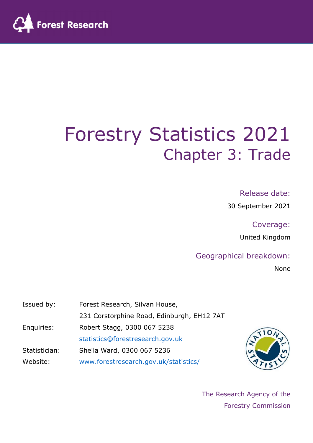

# Forestry Statistics 2021 Chapter 3: Trade

#### Release date:

30 September 2021

Coverage:

United Kingdom

### Geographical breakdown:

None

| Issued by:    | Forest Research, Silvan House,             |
|---------------|--------------------------------------------|
|               | 231 Corstorphine Road, Edinburgh, EH12 7AT |
| Enquiries:    | Robert Stagg, 0300 067 5238                |
|               | statistics@forestresearch.gov.uk           |
| Statistician: | Sheila Ward, 0300 067 5236                 |
| Website:      | www.forestresearch.gov.uk/statistics/      |



The Research Agency of the Forestry Commission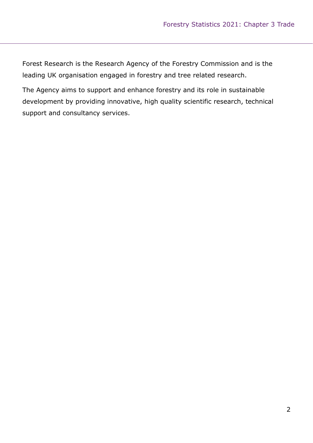Forest Research is the Research Agency of the Forestry Commission and is the leading UK organisation engaged in forestry and tree related research.

The Agency aims to support and enhance forestry and its role in sustainable development by providing innovative, high quality scientific research, technical support and consultancy services.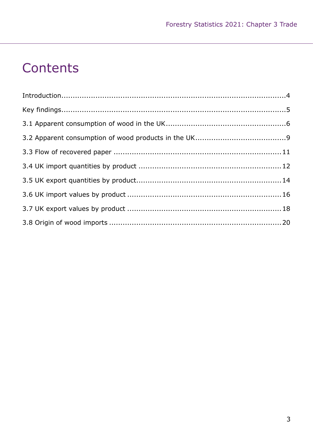## **Contents**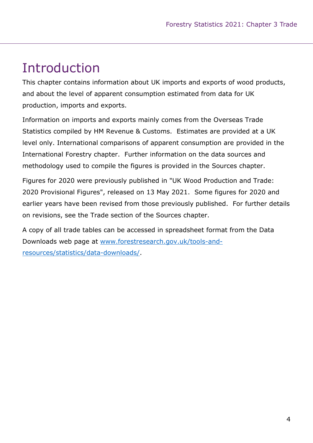## Introduction

This chapter contains information about UK imports and exports of wood products, and about the level of apparent consumption estimated from data for UK production, imports and exports.

Information on imports and exports mainly comes from the Overseas Trade Statistics compiled by HM Revenue & Customs. Estimates are provided at a UK level only. International comparisons of apparent consumption are provided in the International Forestry chapter. Further information on the data sources and methodology used to compile the figures is provided in the Sources chapter.

Figures for 2020 were previously published in "UK Wood Production and Trade: 2020 Provisional Figures", released on 13 May 2021. Some figures for 2020 and earlier years have been revised from those previously published. For further details on revisions, see the Trade section of the Sources chapter.

A copy of all trade tables can be accessed in spreadsheet format from the Data Downloads web page at www.forestresearch.gov.uk/tools-andresources/statistics/data-downloads/.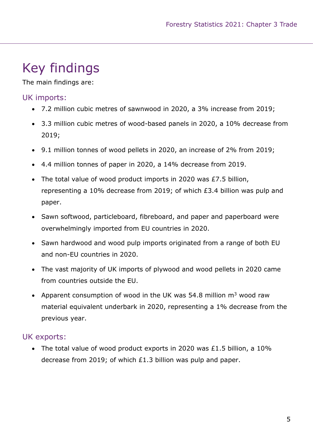## Key findings

The main findings are:

### UK imports:

- 7.2 million cubic metres of sawnwood in 2020, a 3% increase from 2019;
- 3.3 million cubic metres of wood-based panels in 2020, a 10% decrease from 2019;
- 9.1 million tonnes of wood pellets in 2020, an increase of 2% from 2019;
- 4.4 million tonnes of paper in 2020, a 14% decrease from 2019.
- The total value of wood product imports in 2020 was £7.5 billion, representing a 10% decrease from 2019; of which £3.4 billion was pulp and paper.
- Sawn softwood, particleboard, fibreboard, and paper and paperboard were overwhelmingly imported from EU countries in 2020.
- Sawn hardwood and wood pulp imports originated from a range of both EU and non-EU countries in 2020.
- The vast majority of UK imports of plywood and wood pellets in 2020 came from countries outside the EU.
- Apparent consumption of wood in the UK was 54.8 million  $m<sup>3</sup>$  wood raw material equivalent underbark in 2020, representing a 1% decrease from the previous year.

### UK exports:

 The total value of wood product exports in 2020 was £1.5 billion, a 10% decrease from 2019; of which £1.3 billion was pulp and paper.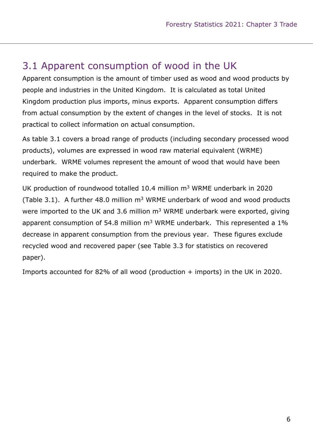### 3.1 Apparent consumption of wood in the UK

Apparent consumption is the amount of timber used as wood and wood products by people and industries in the United Kingdom. It is calculated as total United Kingdom production plus imports, minus exports. Apparent consumption differs from actual consumption by the extent of changes in the level of stocks. It is not practical to collect information on actual consumption.

As table 3.1 covers a broad range of products (including secondary processed wood products), volumes are expressed in wood raw material equivalent (WRME) underbark. WRME volumes represent the amount of wood that would have been required to make the product.

UK production of roundwood totalled 10.4 million  $m<sup>3</sup>$  WRME underbark in 2020 (Table 3.1). A further 48.0 million  $m<sup>3</sup>$  WRME underbark of wood and wood products were imported to the UK and 3.6 million  $m<sup>3</sup>$  WRME underbark were exported, giving apparent consumption of 54.8 million  $m<sup>3</sup>$  WRME underbark. This represented a 1% decrease in apparent consumption from the previous year. These figures exclude recycled wood and recovered paper (see Table 3.3 for statistics on recovered paper).

Imports accounted for 82% of all wood (production + imports) in the UK in 2020.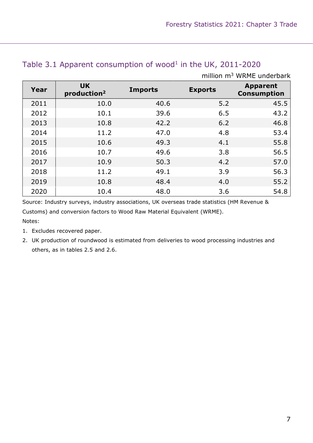|      |                                      |                |                | million m <sup>3</sup> WRME underbark |
|------|--------------------------------------|----------------|----------------|---------------------------------------|
| Year | <b>UK</b><br>production <sup>2</sup> | <b>Imports</b> | <b>Exports</b> | <b>Apparent</b><br><b>Consumption</b> |
| 2011 | 10.0                                 | 40.6           | 5.2            | 45.5                                  |
| 2012 | 10.1                                 | 39.6           | 6.5            | 43.2                                  |
| 2013 | 10.8                                 | 42.2           | 6.2            | 46.8                                  |
| 2014 | 11.2                                 | 47.0           | 4.8            | 53.4                                  |
| 2015 | 10.6                                 | 49.3           | 4.1            | 55.8                                  |
| 2016 | 10.7                                 | 49.6           | 3.8            | 56.5                                  |
| 2017 | 10.9                                 | 50.3           | 4.2            | 57.0                                  |
| 2018 | 11.2                                 | 49.1           | 3.9            | 56.3                                  |
| 2019 | 10.8                                 | 48.4           | 4.0            | 55.2                                  |
| 2020 | 10.4                                 | 48.0           | 3.6            | 54.8                                  |

#### Table 3.1 Apparent consumption of wood<sup>1</sup> in the UK, 2011-2020

Source: Industry surveys, industry associations, UK overseas trade statistics (HM Revenue & Customs) and conversion factors to Wood Raw Material Equivalent (WRME).

Notes:

- 1. Excludes recovered paper.
- 2. UK production of roundwood is estimated from deliveries to wood processing industries and others, as in tables 2.5 and 2.6.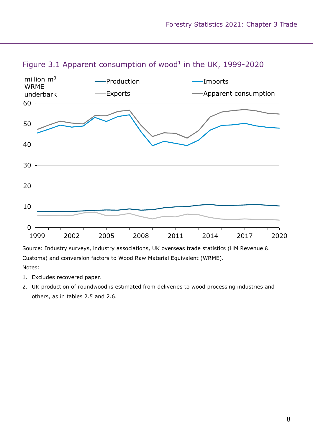

#### Figure 3.1 Apparent consumption of wood<sup>1</sup> in the UK, 1999-2020

Source: Industry surveys, industry associations, UK overseas trade statistics (HM Revenue & Customs) and conversion factors to Wood Raw Material Equivalent (WRME). Notes:

- 1. Excludes recovered paper.
- 2. UK production of roundwood is estimated from deliveries to wood processing industries and others, as in tables 2.5 and 2.6.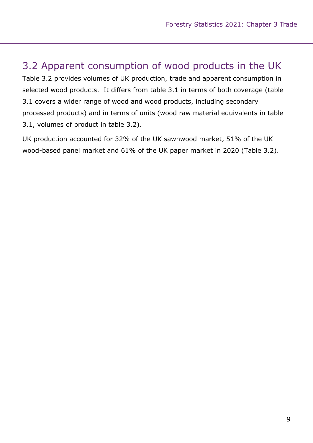### 3.2 Apparent consumption of wood products in the UK

Table 3.2 provides volumes of UK production, trade and apparent consumption in selected wood products. It differs from table 3.1 in terms of both coverage (table 3.1 covers a wider range of wood and wood products, including secondary processed products) and in terms of units (wood raw material equivalents in table 3.1, volumes of product in table 3.2).

UK production accounted for 32% of the UK sawnwood market, 51% of the UK wood-based panel market and 61% of the UK paper market in 2020 (Table 3.2).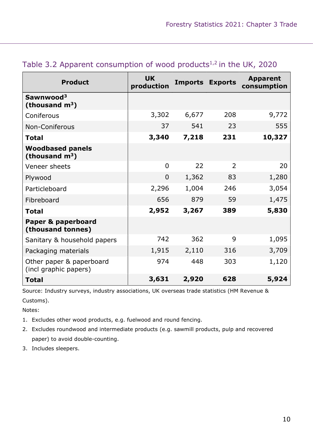| <b>Product</b>                                    | <b>UK</b><br>production | <b>Imports</b> | <b>Exports</b> | <b>Apparent</b><br>consumption |
|---------------------------------------------------|-------------------------|----------------|----------------|--------------------------------|
| Sawnwood <sup>3</sup><br>(thousand $m^3$ )        |                         |                |                |                                |
| Coniferous                                        | 3,302                   | 6,677          | 208            | 9,772                          |
| Non-Coniferous                                    | 37                      | 541            | 23             | 555                            |
| <b>Total</b>                                      | 3,340                   | 7,218          | 231            | 10,327                         |
| <b>Woodbased panels</b><br>(thousand $m^3$ )      |                         |                |                |                                |
| Veneer sheets                                     | $\overline{0}$          | 22             | $\overline{2}$ | 20                             |
| Plywood                                           | $\overline{0}$          | 1,362          | 83             | 1,280                          |
| Particleboard                                     | 2,296                   | 1,004          | 246            | 3,054                          |
| Fibreboard                                        | 656                     | 879            | 59             | 1,475                          |
| <b>Total</b>                                      | 2,952                   | 3,267          | 389            | 5,830                          |
| Paper & paperboard<br>(thousand tonnes)           |                         |                |                |                                |
| Sanitary & household papers                       | 742                     | 362            | 9              | 1,095                          |
| Packaging materials                               | 1,915                   | 2,110          | 316            | 3,709                          |
| Other paper & paperboard<br>(incl graphic papers) | 974                     | 448            | 303            | 1,120                          |
| <b>Total</b>                                      | 3,631                   | 2,920          | 628            | 5,924                          |

### Table 3.2 Apparent consumption of wood products $1,2$  in the UK, 2020

Source: Industry surveys, industry associations, UK overseas trade statistics (HM Revenue & Customs).

Notes:

- 1. Excludes other wood products, e.g. fuelwood and round fencing.
- 2. Excludes roundwood and intermediate products (e.g. sawmill products, pulp and recovered paper) to avoid double-counting.
- 3. Includes sleepers.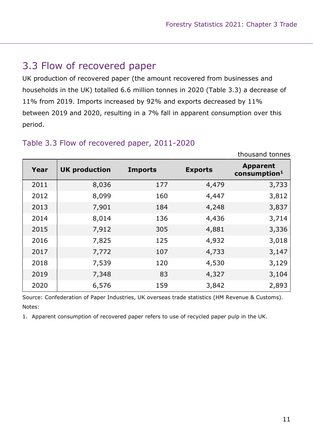thousand tonnes

### 3.3 Flow of recovered paper

UK production of recovered paper (the amount recovered from businesses and households in the UK) totalled 6.6 million tonnes in 2020 (Table 3.3) a decrease of 11% from 2019. Imports increased by 92% and exports decreased by 11% between 2019 and 2020, resulting in a 7% fall in apparent consumption over this period.

| Year | <b>UK production</b> | <b>Imports</b> | <b>Exports</b> | <b>Apparent</b><br>$\frac{1}{2}$ consumption <sup>1</sup> |
|------|----------------------|----------------|----------------|-----------------------------------------------------------|
| 2011 | 8,036                | 177            | 4,479          | 3,733                                                     |
| 2012 | 8,099                | 160            | 4,447          | 3,812                                                     |
| 2013 | 7,901                | 184            | 4,248          | 3,837                                                     |
| 2014 | 8,014                | 136            | 4,436          | 3,714                                                     |
| 2015 | 7,912                | 305            | 4,881          | 3,336                                                     |
| 2016 | 7,825                | 125            | 4,932          | 3,018                                                     |
| 2017 | 7,772                | 107            | 4,733          | 3,147                                                     |
| 2018 | 7,539                | 120            | 4,530          | 3,129                                                     |
| 2019 | 7,348                | 83             | 4,327          | 3,104                                                     |
| 2020 | 6,576                | 159            | 3,842          | 2,893                                                     |

#### Table 3.3 Flow of recovered paper, 2011-2020

Source: Confederation of Paper Industries, UK overseas trade statistics (HM Revenue & Customs). Notes:

1. Apparent consumption of recovered paper refers to use of recycled paper pulp in the UK.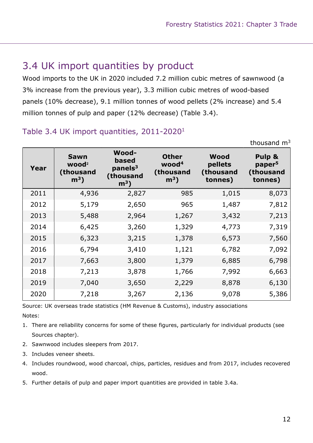### 3.4 UK import quantities by product

Wood imports to the UK in 2020 included 7.2 million cubic metres of sawnwood (a 3% increase from the previous year), 3.3 million cubic metres of wood-based panels (10% decrease), 9.1 million tonnes of wood pellets (2% increase) and 5.4 million tonnes of pulp and paper (12% decrease) (Table 3.4).

#### Table 3.4 UK import quantities, 2011-2020<sup>1</sup>

|      |                                                         |                                                                             |                                                                  |                                         | thousand $m3$                                        |
|------|---------------------------------------------------------|-----------------------------------------------------------------------------|------------------------------------------------------------------|-----------------------------------------|------------------------------------------------------|
| Year | <b>Sawn</b><br>wood <sup>2</sup><br>(thousand<br>$m3$ ) | <b>Wood-</b><br>based<br>panels <sup>3</sup><br>(thousand<br>m <sup>3</sup> | <b>Other</b><br>wood <sup>4</sup><br>(thousand<br>m <sup>3</sup> | Wood<br>pellets<br>(thousand<br>tonnes) | Pulp &<br>paper <sup>5</sup><br>(thousand<br>tonnes) |
| 2011 | 4,936                                                   | 2,827                                                                       | 985                                                              | 1,015                                   | 8,073                                                |
| 2012 | 5,179                                                   | 2,650                                                                       | 965                                                              | 1,487                                   | 7,812                                                |
| 2013 | 5,488                                                   | 2,964                                                                       | 1,267                                                            | 3,432                                   | 7,213                                                |
| 2014 | 6,425                                                   | 3,260                                                                       | 1,329                                                            | 4,773                                   | 7,319                                                |
| 2015 | 6,323                                                   | 3,215                                                                       | 1,378                                                            | 6,573                                   | 7,560                                                |
| 2016 | 6,794                                                   | 3,410                                                                       | 1,121                                                            | 6,782                                   | 7,092                                                |
| 2017 | 7,663                                                   | 3,800                                                                       | 1,379                                                            | 6,885                                   | 6,798                                                |
| 2018 | 7,213                                                   | 3,878                                                                       | 1,766                                                            | 7,992                                   | 6,663                                                |
| 2019 | 7,040                                                   | 3,650                                                                       | 2,229                                                            | 8,878                                   | 6,130                                                |
| 2020 | 7,218                                                   | 3,267                                                                       | 2,136                                                            | 9,078                                   | 5,386                                                |

Source: UK overseas trade statistics (HM Revenue & Customs), industry associations Notes:

- 1. There are reliability concerns for some of these figures, particularly for individual products (see Sources chapter).
- 2. Sawnwood includes sleepers from 2017.
- 3. Includes veneer sheets.
- 4. Includes roundwood, wood charcoal, chips, particles, residues and from 2017, includes recovered wood.
- 5. Further details of pulp and paper import quantities are provided in table 3.4a.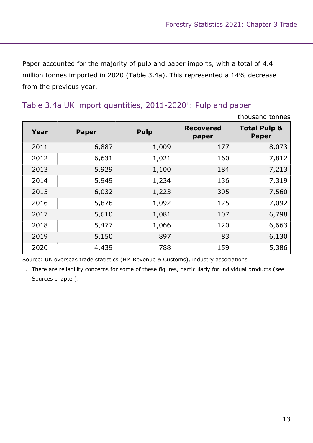Paper accounted for the majority of pulp and paper imports, with a total of 4.4 million tonnes imported in 2020 (Table 3.4a). This represented a 14% decrease from the previous year.

### Table 3.4a UK import quantities, 2011-2020<sup>1</sup>: Pulp and paper

|      |              |             |                           | thousand tonnes                         |
|------|--------------|-------------|---------------------------|-----------------------------------------|
| Year | <b>Paper</b> | <b>Pulp</b> | <b>Recovered</b><br>paper | <b>Total Pulp &amp;</b><br><b>Paper</b> |
| 2011 | 6,887        | 1,009       | 177                       | 8,073                                   |
| 2012 | 6,631        | 1,021       | 160                       | 7,812                                   |
| 2013 | 5,929        | 1,100       | 184                       | 7,213                                   |
| 2014 | 5,949        | 1,234       | 136                       | 7,319                                   |
| 2015 | 6,032        | 1,223       | 305                       | 7,560                                   |
| 2016 | 5,876        | 1,092       | 125                       | 7,092                                   |
| 2017 | 5,610        | 1,081       | 107                       | 6,798                                   |
| 2018 | 5,477        | 1,066       | 120                       | 6,663                                   |
| 2019 | 5,150        | 897         | 83                        | 6,130                                   |
| 2020 | 4,439        | 788         | 159                       | 5,386                                   |

Source: UK overseas trade statistics (HM Revenue & Customs), industry associations

1. There are reliability concerns for some of these figures, particularly for individual products (see Sources chapter).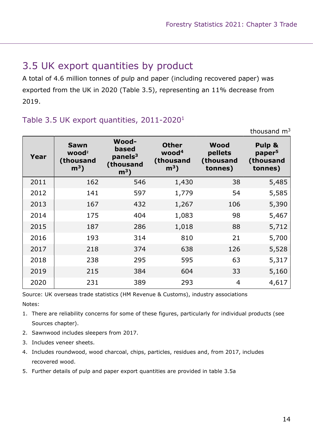### 3.5 UK export quantities by product

A total of 4.6 million tonnes of pulp and paper (including recovered paper) was exported from the UK in 2020 (Table 3.5), representing an 11% decrease from 2019.

### Table 3.5 UK export quantities, 2011-2020<sup>1</sup>

|      |                                                         |                                                                     |                                                          |                                         | thousand $m3$                                        |
|------|---------------------------------------------------------|---------------------------------------------------------------------|----------------------------------------------------------|-----------------------------------------|------------------------------------------------------|
| Year | <b>Sawn</b><br>wood <sup>2</sup><br>(thousand<br>$m3$ ) | <b>Wood-</b><br>based<br>panels <sup>3</sup><br>(thousand<br>$m3$ ) | <b>Other</b><br>wood <sup>4</sup><br>(thousand<br>$m3$ ) | Wood<br>pellets<br>(thousand<br>tonnes) | Pulp &<br>paper <sup>5</sup><br>(thousand<br>tonnes) |
| 2011 | 162                                                     | 546                                                                 | 1,430                                                    | 38                                      | 5,485                                                |
| 2012 | 141                                                     | 597                                                                 | 1,779                                                    | 54                                      | 5,585                                                |
| 2013 | 167                                                     | 432                                                                 | 1,267                                                    | 106                                     | 5,390                                                |
| 2014 | 175                                                     | 404                                                                 | 1,083                                                    | 98                                      | 5,467                                                |
| 2015 | 187                                                     | 286                                                                 | 1,018                                                    | 88                                      | 5,712                                                |
| 2016 | 193                                                     | 314                                                                 | 810                                                      | 21                                      | 5,700                                                |
| 2017 | 218                                                     | 374                                                                 | 638                                                      | 126                                     | 5,528                                                |
| 2018 | 238                                                     | 295                                                                 | 595                                                      | 63                                      | 5,317                                                |
| 2019 | 215                                                     | 384                                                                 | 604                                                      | 33                                      | 5,160                                                |
| 2020 | 231                                                     | 389                                                                 | 293                                                      | 4                                       | 4,617                                                |

Source: UK overseas trade statistics (HM Revenue & Customs), industry associations Notes:

- 1. There are reliability concerns for some of these figures, particularly for individual products (see Sources chapter).
- 2. Sawnwood includes sleepers from 2017.
- 3. Includes veneer sheets.
- 4. Includes roundwood, wood charcoal, chips, particles, residues and, from 2017, includes recovered wood.
- 5. Further details of pulp and paper export quantities are provided in table 3.5a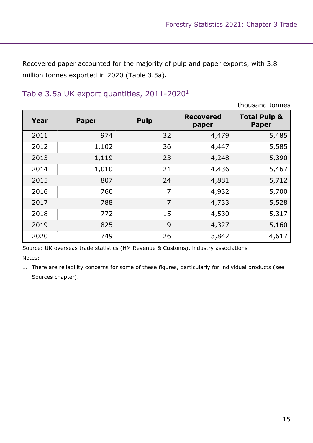Recovered paper accounted for the majority of pulp and paper exports, with 3.8 million tonnes exported in 2020 (Table 3.5a).

|      |              |                |                           | thousand tonnes                         |
|------|--------------|----------------|---------------------------|-----------------------------------------|
| Year | <b>Paper</b> | <b>Pulp</b>    | <b>Recovered</b><br>paper | <b>Total Pulp &amp;</b><br><b>Paper</b> |
| 2011 | 974          | 32             | 4,479                     | 5,485                                   |
| 2012 | 1,102        | 36             | 4,447                     | 5,585                                   |
| 2013 | 1,119        | 23             | 4,248                     | 5,390                                   |
| 2014 | 1,010        | 21             | 4,436                     | 5,467                                   |
| 2015 | 807          | 24             | 4,881                     | 5,712                                   |
| 2016 | 760          | $\overline{7}$ | 4,932                     | 5,700                                   |
| 2017 | 788          | $\overline{7}$ | 4,733                     | 5,528                                   |
| 2018 | 772          | 15             | 4,530                     | 5,317                                   |
| 2019 | 825          | 9              | 4,327                     | 5,160                                   |
| 2020 | 749          | 26             | 3,842                     | 4,617                                   |

### Table 3.5a UK export quantities, 2011-2020<sup>1</sup>

Source: UK overseas trade statistics (HM Revenue & Customs), industry associations Notes:

1. There are reliability concerns for some of these figures, particularly for individual products (see Sources chapter).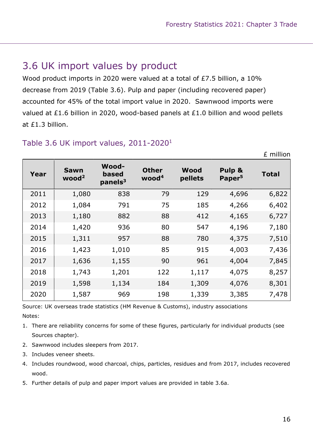### 3.6 UK import values by product

Wood product imports in 2020 were valued at a total of £7.5 billion, a 10% decrease from 2019 (Table 3.6). Pulp and paper (including recovered paper) accounted for 45% of the total import value in 2020. Sawnwood imports were valued at £1.6 billion in 2020, wood-based panels at £1.0 billion and wood pellets at £1.3 billion.

| Year | <b>Sawn</b><br>wood <sup>2</sup> | Wood-<br><b>based</b><br>panels <sup>3</sup> | <b>Other</b><br>wood <sup>4</sup> | Wood<br>pellets | Pulp &<br>Paper <sup>5</sup> | <b>Total</b> |
|------|----------------------------------|----------------------------------------------|-----------------------------------|-----------------|------------------------------|--------------|
| 2011 | 1,080                            | 838                                          | 79                                | 129             | 4,696                        | 6,822        |
| 2012 | 1,084                            | 791                                          | 75                                | 185             | 4,266                        | 6,402        |
| 2013 | 1,180                            | 882                                          | 88                                | 412             | 4,165                        | 6,727        |
| 2014 | 1,420                            | 936                                          | 80                                | 547             | 4,196                        | 7,180        |
| 2015 | 1,311                            | 957                                          | 88                                | 780             | 4,375                        | 7,510        |
| 2016 | 1,423                            | 1,010                                        | 85                                | 915             | 4,003                        | 7,436        |
| 2017 | 1,636                            | 1,155                                        | 90                                | 961             | 4,004                        | 7,845        |
| 2018 | 1,743                            | 1,201                                        | 122                               | 1,117           | 4,075                        | 8,257        |
| 2019 | 1,598                            | 1,134                                        | 184                               | 1,309           | 4,076                        | 8,301        |
| 2020 | 1,587                            | 969                                          | 198                               | 1,339           | 3,385                        | 7,478        |

### Table 3.6 UK import values, 2011-2020<sup>1</sup>

Source: UK overseas trade statistics (HM Revenue & Customs), industry associations Notes:

- 1. There are reliability concerns for some of these figures, particularly for individual products (see Sources chapter).
- 2. Sawnwood includes sleepers from 2017.
- 3. Includes veneer sheets.
- 4. Includes roundwood, wood charcoal, chips, particles, residues and from 2017, includes recovered wood.
- 5. Further details of pulp and paper import values are provided in table 3.6a.

£ million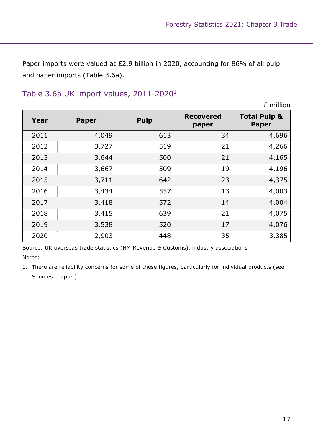Paper imports were valued at £2.9 billion in 2020, accounting for 86% of all pulp and paper imports (Table 3.6a).

### Table 3.6a UK import values, 2011-2020<sup>1</sup>

|      |              |             |                           | £ million                               |
|------|--------------|-------------|---------------------------|-----------------------------------------|
| Year | <b>Paper</b> | <b>Pulp</b> | <b>Recovered</b><br>paper | <b>Total Pulp &amp;</b><br><b>Paper</b> |
| 2011 | 4,049        | 613         | 34                        | 4,696                                   |
| 2012 | 3,727        | 519         | 21                        | 4,266                                   |
| 2013 | 3,644        | 500         | 21                        | 4,165                                   |
| 2014 | 3,667        | 509         | 19                        | 4,196                                   |
| 2015 | 3,711        | 642         | 23                        | 4,375                                   |
| 2016 | 3,434        | 557         | 13                        | 4,003                                   |
| 2017 | 3,418        | 572         | 14                        | 4,004                                   |
| 2018 | 3,415        | 639         | 21                        | 4,075                                   |
| 2019 | 3,538        | 520         | 17                        | 4,076                                   |
| 2020 | 2,903        | 448         | 35                        | 3,385                                   |

Source: UK overseas trade statistics (HM Revenue & Customs), industry associations Notes:

1. There are reliability concerns for some of these figures, particularly for individual products (see Sources chapter).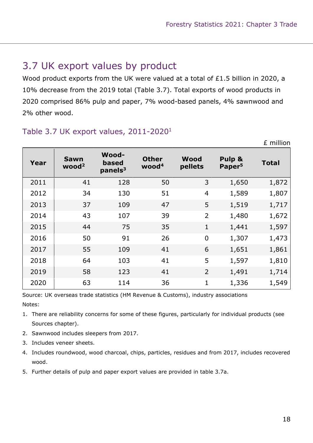### 3.7 UK export values by product

Wood product exports from the UK were valued at a total of £1.5 billion in 2020, a 10% decrease from the 2019 total (Table 3.7). Total exports of wood products in 2020 comprised 86% pulp and paper, 7% wood-based panels, 4% sawnwood and 2% other wood.

| Year | <b>Sawn</b><br>wood <sup>2</sup> | <b>Wood-</b><br>based<br>panels <sup>3</sup> | <b>Other</b><br>wood <sup>4</sup> | Wood<br>pellets | Pulp &<br>Paper <sup>5</sup> | <b>Total</b> |
|------|----------------------------------|----------------------------------------------|-----------------------------------|-----------------|------------------------------|--------------|
| 2011 | 41                               | 128                                          | 50                                | 3               | 1,650                        | 1,872        |
| 2012 | 34                               | 130                                          | 51                                | $\overline{4}$  | 1,589                        | 1,807        |
| 2013 | 37                               | 109                                          | 47                                | 5               | 1,519                        | 1,717        |
| 2014 | 43                               | 107                                          | 39                                | $\overline{2}$  | 1,480                        | 1,672        |
| 2015 | 44                               | 75                                           | 35                                | $\mathbf{1}$    | 1,441                        | 1,597        |
| 2016 | 50                               | 91                                           | 26                                | $\overline{0}$  | 1,307                        | 1,473        |
| 2017 | 55                               | 109                                          | 41                                | 6               | 1,651                        | 1,861        |
| 2018 | 64                               | 103                                          | 41                                | 5               | 1,597                        | 1,810        |
| 2019 | 58                               | 123                                          | 41                                | $\overline{2}$  | 1,491                        | 1,714        |
| 2020 | 63                               | 114                                          | 36                                | 1               | 1,336                        | 1,549        |

### Table 3.7 UK export values, 2011-2020<sup>1</sup>

Source: UK overseas trade statistics (HM Revenue & Customs), industry associations Notes:

- 1. There are reliability concerns for some of these figures, particularly for individual products (see Sources chapter).
- 2. Sawnwood includes sleepers from 2017.
- 3. Includes veneer sheets.
- 4. Includes roundwood, wood charcoal, chips, particles, residues and from 2017, includes recovered wood.
- 5. Further details of pulp and paper export values are provided in table 3.7a.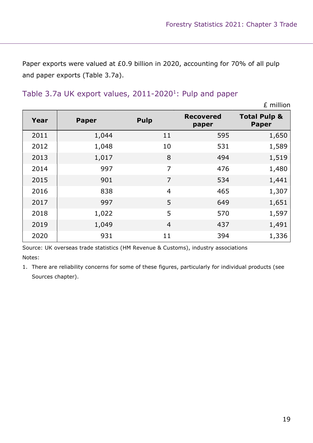Paper exports were valued at £0.9 billion in 2020, accounting for 70% of all pulp and paper exports (Table 3.7a).

#### Table 3.7a UK export values,  $2011 - 2020<sup>1</sup>$ : Pulp and paper

£ million Year Paper Pulp Recovered paper Total Pulp & Paper 2011 1,044 11 595 1,650 2012 1,048 10 531 1,589 2013 1,017 8 494 1,519 2014 997 7 476 1,480 2015 901 7 534 1,441 2016 838 4 465 1,307 2017 997 5 649 1,651 2018 1,022 5 570 1,597 2019 1,049 4 437 1,491 2020 931 11 394 1,336

Source: UK overseas trade statistics (HM Revenue & Customs), industry associations Notes:

1. There are reliability concerns for some of these figures, particularly for individual products (see Sources chapter).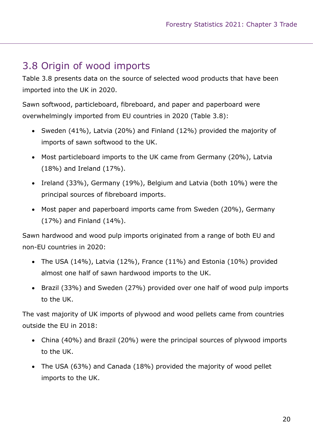### 3.8 Origin of wood imports

Table 3.8 presents data on the source of selected wood products that have been imported into the UK in 2020.

Sawn softwood, particleboard, fibreboard, and paper and paperboard were overwhelmingly imported from EU countries in 2020 (Table 3.8):

- Sweden (41%), Latvia (20%) and Finland (12%) provided the majority of imports of sawn softwood to the UK.
- Most particleboard imports to the UK came from Germany (20%), Latvia (18%) and Ireland (17%).
- Ireland (33%), Germany (19%), Belgium and Latvia (both 10%) were the principal sources of fibreboard imports.
- Most paper and paperboard imports came from Sweden (20%), Germany (17%) and Finland (14%).

Sawn hardwood and wood pulp imports originated from a range of both EU and non-EU countries in 2020:

- The USA  $(14%)$ , Latvia  $(12%)$ , France  $(11%)$  and Estonia  $(10%)$  provided almost one half of sawn hardwood imports to the UK.
- Brazil (33%) and Sweden (27%) provided over one half of wood pulp imports to the UK.

The vast majority of UK imports of plywood and wood pellets came from countries outside the EU in 2018:

- China (40%) and Brazil (20%) were the principal sources of plywood imports to the UK.
- The USA (63%) and Canada (18%) provided the majority of wood pellet imports to the UK.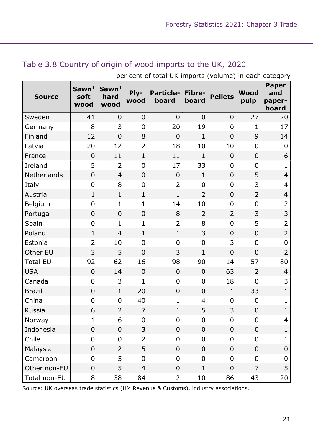| <b>Source</b>   | Sawn <sup>1</sup><br>soft<br>wood | Sawn <sup>1</sup><br>hard<br>wood | Ply-<br>wood     | <b>Particle-</b><br>board | Fibre-<br>board | <b>Pellets</b> | <b>Wood</b><br>pulp | <b>Paper</b><br>and<br>paper-<br>board |
|-----------------|-----------------------------------|-----------------------------------|------------------|---------------------------|-----------------|----------------|---------------------|----------------------------------------|
| Sweden          | 41                                | $\overline{0}$                    | $\overline{0}$   | $\overline{0}$            | $\overline{0}$  | $\overline{0}$ | 27                  | 20                                     |
| Germany         | 8                                 | 3                                 | $\overline{0}$   | 20                        | 19              | $\mathbf 0$    | $\mathbf{1}$        | 17                                     |
| Finland         | 12                                | $\overline{0}$                    | 8                | $\overline{0}$            | $\mathbf{1}$    | $\overline{0}$ | 9                   | 14                                     |
| Latvia          | 20                                | 12                                | $\overline{2}$   | 18                        | 10              | 10             | $\overline{0}$      | $\mathbf 0$                            |
| France          | $\overline{0}$                    | 11                                | $\mathbf{1}$     | 11                        | $\mathbf{1}$    | $\overline{0}$ | $\mathbf 0$         | 6                                      |
| Ireland         | 5                                 | $\overline{2}$                    | $\mathbf 0$      | 17                        | 33              | $\overline{0}$ | 0                   | $\mathbf{1}$                           |
| Netherlands     | $\overline{0}$                    | $\overline{4}$                    | $\overline{0}$   | $\mathbf 0$               | $\mathbf{1}$    | $\mathbf 0$    | 5                   | $\overline{4}$                         |
| Italy           | $\mathbf 0$                       | 8                                 | $\mathbf 0$      | $\overline{2}$            | $\overline{0}$  | $\overline{0}$ | 3                   | $\overline{4}$                         |
| Austria         | $\mathbf{1}$                      | $\mathbf{1}$                      | $\mathbf{1}$     | $\mathbf{1}$              | $\overline{2}$  | $\mathbf 0$    | $\overline{2}$      | $\overline{4}$                         |
| Belgium         | $\overline{0}$                    | $\mathbf{1}$                      | $\mathbf 1$      | 14                        | 10              | $\overline{0}$ | $\mathbf 0$         | $\overline{2}$                         |
| Portugal        | $\overline{0}$                    | $\overline{0}$                    | $\overline{0}$   | 8                         | $\overline{2}$  | $\overline{2}$ | 3                   | 3                                      |
| Spain           | $\overline{0}$                    | $\mathbf{1}$                      | $\mathbf{1}$     | $\overline{2}$            | 8               | $\overline{0}$ | 5                   | $\overline{2}$                         |
| Poland          | $\mathbf{1}$                      | $\overline{4}$                    | $\mathbf{1}$     | $\mathbf{1}$              | 3               | $\overline{0}$ | $\overline{0}$      | $\overline{2}$                         |
| Estonia         | $\overline{2}$                    | 10                                | $\mathbf 0$      | 0                         | $\overline{0}$  | 3              | $\overline{0}$      | $\mathbf 0$                            |
| Other EU        | 3                                 | 5                                 | $\overline{0}$   | 3                         | $\mathbf{1}$    | $\overline{0}$ | $\overline{0}$      | $\overline{2}$                         |
| <b>Total EU</b> | 92                                | 62                                | 16               | 98                        | 90              | 14             | 57                  | 80                                     |
| <b>USA</b>      | $\overline{0}$                    | 14                                | $\overline{0}$   | $\mathbf 0$               | $\mathbf 0$     | 63             | $\overline{2}$      | $\overline{4}$                         |
| Canada          | $\overline{0}$                    | 3                                 | 1                | $\mathbf 0$               | $\overline{0}$  | 18             | $\overline{0}$      | 3                                      |
| <b>Brazil</b>   | $\overline{0}$                    | $\mathbf{1}$                      | 20               | $\mathbf 0$               | $\mathbf 0$     | $\mathbf{1}$   | 33                  | $\mathbf{1}$                           |
| China           | $\overline{0}$                    | $\overline{0}$                    | 40               | $\mathbf{1}$              | 4               | $\overline{0}$ | $\mathbf 0$         | $\mathbf{1}$                           |
| Russia          | 6                                 | $\overline{2}$                    | $\overline{7}$   | 1                         | 5               | 3              | $\mathbf 0$         | $\mathbf{1}$                           |
| Norway          | 1                                 | 6                                 | $\boldsymbol{0}$ | 0                         | $\mathbf 0$     | $\overline{0}$ | 0                   | 4                                      |
| Indonesia       | $\overline{0}$                    | $\mathbf 0$                       | 3                | $\overline{0}$            | $\overline{0}$  | $\mathbf 0$    | $\boldsymbol{0}$    | $\mathbf{1}$                           |
| Chile           | $\overline{0}$                    | $\mathbf 0$                       | $\overline{2}$   | 0                         | $\mathbf 0$     | 0              | 0                   | $\mathbf{1}$                           |
| Malaysia        | $\mathbf 0$                       | $\overline{2}$                    | 5                | $\mathbf 0$               | $\overline{0}$  | $\overline{0}$ | $\mathbf 0$         | $\mathbf 0$                            |
| Cameroon        | $\overline{0}$                    | 5                                 | $\boldsymbol{0}$ | 0                         | $\mathbf 0$     | 0              | 0                   | $\mathbf 0$                            |
| Other non-EU    | $\mathbf 0$                       | 5                                 | $\overline{4}$   | $\mathbf 0$               | $\mathbf{1}$    | $\mathbf 0$    | $\overline{7}$      | 5                                      |
| Total non-EU    | 8                                 | 38                                | 84               | $\overline{2}$            | $10\,$          | 86             | 43                  | 20                                     |

### Table 3.8 Country of origin of wood imports to the UK, 2020

per cent of total UK imports (volume) in each category

Source: UK overseas trade statistics (HM Revenue & Customs), industry associations.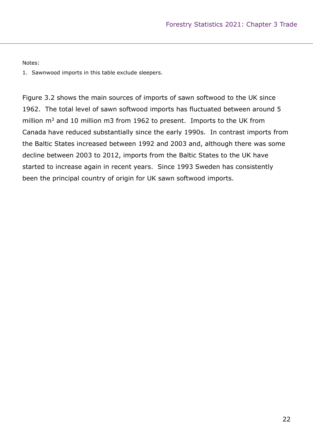#### Notes:

1. Sawnwood imports in this table exclude sleepers.

Figure 3.2 shows the main sources of imports of sawn softwood to the UK since 1962. The total level of sawn softwood imports has fluctuated between around 5 million  $m<sup>3</sup>$  and 10 million m3 from 1962 to present. Imports to the UK from Canada have reduced substantially since the early 1990s. In contrast imports from the Baltic States increased between 1992 and 2003 and, although there was some decline between 2003 to 2012, imports from the Baltic States to the UK have started to increase again in recent years. Since 1993 Sweden has consistently been the principal country of origin for UK sawn softwood imports.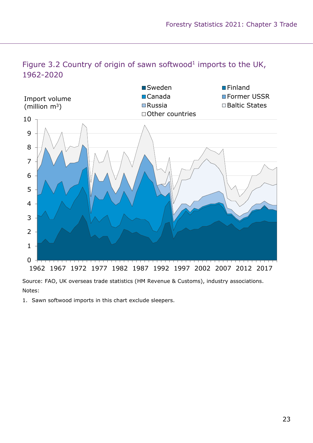

### Figure 3.2 Country of origin of sawn softwood<sup>1</sup> imports to the UK, 1962-2020

Source: FAO, UK overseas trade statistics (HM Revenue & Customs), industry associations. Notes:

1. Sawn softwood imports in this chart exclude sleepers.